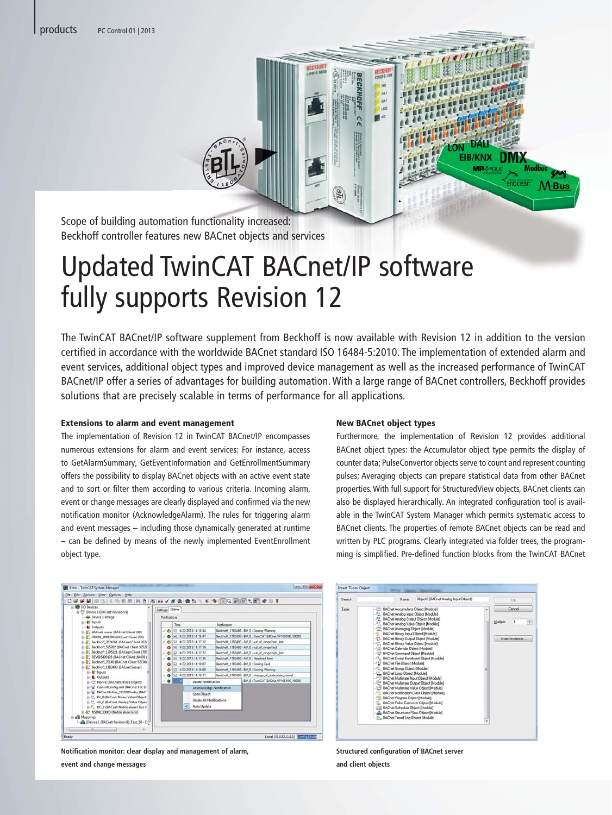

Scope of building automation functionality increased: Beckhoff controller features new BACnet objects and services

# Updated TwinCAT BACnet/IP software fully supports Revision 12

The TwinCAT BACnet/IP software supplement from Beckhoff is now available with Revision 12 in addition to the version certified in accordance with the worldwide BACnet standard ISO 16484-5:2010. The implementation of extended alarm and event services, additional object types and improved device management as well as the increased performance of TwinCAT BACnet/IP offer a series of advantages for building automation. With a large range of BACnet controllers, Beckhoff provides solutions that are precisely scalable in terms of performance for all applications.

#### Extensions to alarm and event management

The implementation of Revision 12 in TwinCAT BACnet/IP encompasses numerous extensions for alarm and event services: For instance, access to GetAlarmSummary, GetEventInformation and GetEnrollmentSummary offers the possibility to display BACnet objects with an active event state and to sort or filter them according to various criteria. Incoming alarm, event or change messages are clearly displayed and confirmed via the new notification monitor (AcknowledgeAlarm). The rules for triggering alarm and event messages – including those dynamically generated at runtime – can be defined by means of the newly implemented EventEnrollment object type.

#### New BACnet object types

Furthermore, the implementation of Revision 12 provides additional BACnet object types: the Accumulator object type permits the display of counter data; PulseConvertor objects serve to count and represent counting pulses; Averaging objects can prepare statistical data from other BACnet properties. With full support for StructuredView objects, BACnet clients can also be displayed hierarchically. An integrated configuration tool is available in the TwinCAT System Manager which permits systematic access to BACnet clients. The properties of remote BACnet objects can be read and written by PLC programs. Clearly integrated via folder trees, the programming is simplified. Pre-defined function blocks from the TwinCAT BACnet



**Notification monitor: clear display and management of alarm, event and change messages** 



**Structured configuration of BACnet server and client objects**